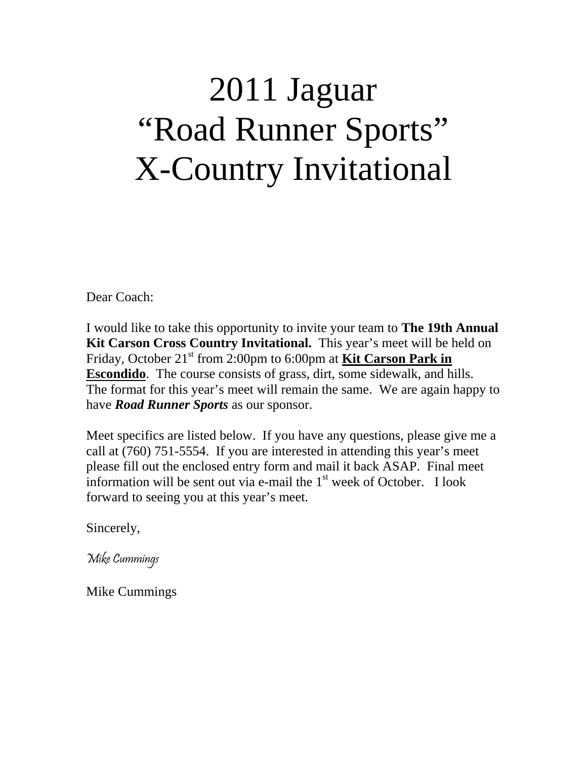## 2011 Jaguar "Road Runner Sports" X-Country Invitational

Dear Coach:

I would like to take this opportunity to invite your team to **The 19th Annual Kit Carson Cross Country Invitational.** This year's meet will be held on Friday, October 21<sup>st</sup> from 2:00pm to 6:00pm at **Kit Carson Park in Escondido**. The course consists of grass, dirt, some sidewalk, and hills. The format for this year's meet will remain the same. We are again happy to have *Road Runner Sports* as our sponsor.

Meet specifics are listed below. If you have any questions, please give me a call at (760) 751-5554. If you are interested in attending this year's meet please fill out the enclosed entry form and mail it back ASAP. Final meet information will be sent out via e-mail the  $1<sup>st</sup>$  week of October. I look forward to seeing you at this year's meet.

Sincerely,

Mike Cummings

Mike Cummings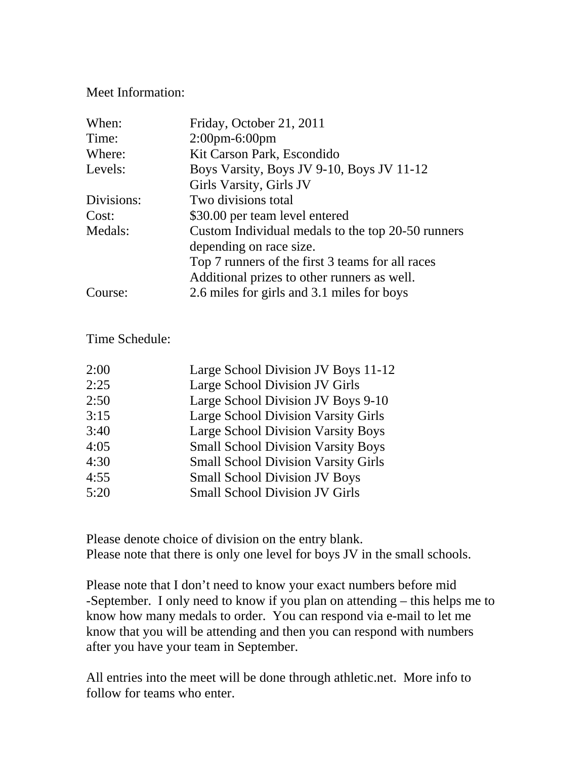## Meet Information:

| When:      | Friday, October 21, 2011                          |  |
|------------|---------------------------------------------------|--|
| Time:      | $2:00$ pm-6:00pm                                  |  |
| Where:     | Kit Carson Park, Escondido                        |  |
| Levels:    | Boys Varsity, Boys JV 9-10, Boys JV 11-12         |  |
|            | Girls Varsity, Girls JV                           |  |
| Divisions: | Two divisions total                               |  |
| Cost:      | \$30.00 per team level entered                    |  |
| Medals:    | Custom Individual medals to the top 20-50 runners |  |
|            | depending on race size.                           |  |
|            | Top 7 runners of the first 3 teams for all races  |  |
|            | Additional prizes to other runners as well.       |  |
| Course:    | 2.6 miles for girls and 3.1 miles for boys        |  |

## Time Schedule:

| 2:00 | Large School Division JV Boys 11-12        |
|------|--------------------------------------------|
| 2:25 | Large School Division JV Girls             |
| 2:50 | Large School Division JV Boys 9-10         |
| 3:15 | <b>Large School Division Varsity Girls</b> |
| 3:40 | <b>Large School Division Varsity Boys</b>  |
| 4:05 | <b>Small School Division Varsity Boys</b>  |
| 4:30 | <b>Small School Division Varsity Girls</b> |
| 4:55 | <b>Small School Division JV Boys</b>       |
| 5:20 | <b>Small School Division JV Girls</b>      |
|      |                                            |

Please denote choice of division on the entry blank. Please note that there is only one level for boys JV in the small schools.

Please note that I don't need to know your exact numbers before mid -September. I only need to know if you plan on attending – this helps me to know how many medals to order. You can respond via e-mail to let me know that you will be attending and then you can respond with numbers after you have your team in September.

All entries into the meet will be done through athletic.net. More info to follow for teams who enter.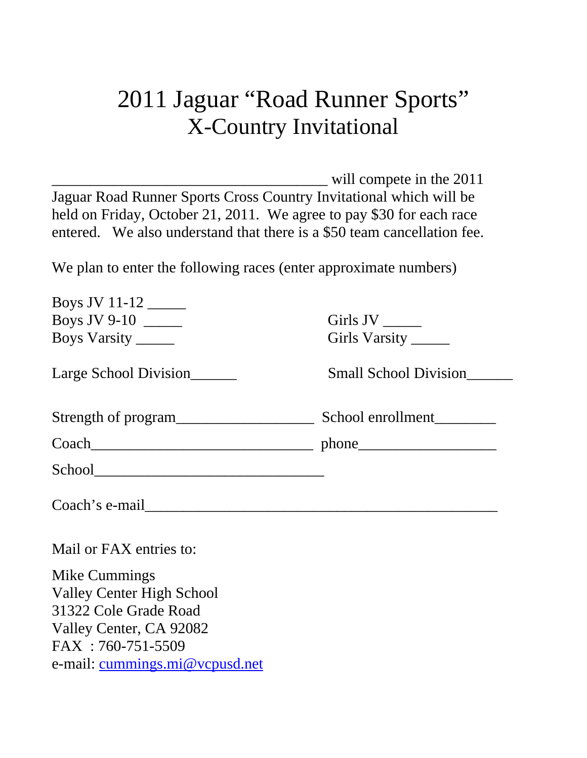## 2011 Jaguar "Road Runner Sports" X-Country Invitational

will compete in the 2011 Jaguar Road Runner Sports Cross Country Invitational which will be held on Friday, October 21, 2011. We agree to pay \$30 for each race entered. We also understand that there is a \$50 team cancellation fee.

We plan to enter the following races (enter approximate numbers)

| Boys JV 11-12                    |                              |
|----------------------------------|------------------------------|
| Boys JV 9-10                     | Girls JV _______             |
| Boys Varsity                     | Girls Varsity _______        |
| Large School Division            | <b>Small School Division</b> |
|                                  |                              |
|                                  | $Coach$ phone phone phone    |
|                                  |                              |
| Coach's e-mail                   |                              |
| Mail or FAX entries to:          |                              |
| Mike Cummings                    |                              |
| <b>Valley Center High School</b> |                              |
| 31322 Cole Grade Road            |                              |
| Valley Center, CA 92082          |                              |

FAX : 760-751-5509 e-mail: [cummings.mi@vcpusd.net](mailto:cummings.mi@vcpusd.net)